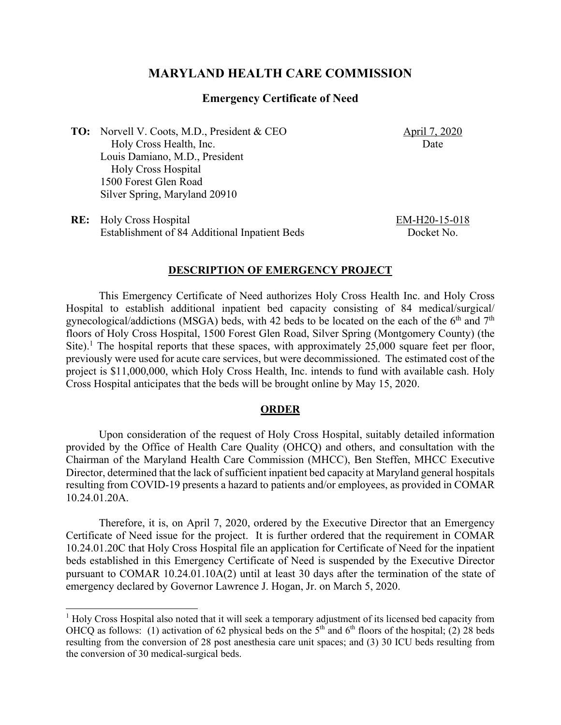# **MARYLAND HEALTH CARE COMMISSION**

### **Emergency Certificate of Need**

**TO:** Norvell V. Coots, M.D., President & CEO Holy Cross Health, Inc. Louis Damiano, M.D., President Holy Cross Hospital 1500 Forest Glen Road Silver Spring, Maryland 20910

**RE:** Holy Cross Hospital Establishment of 84 Additional Inpatient Beds April 7, 2020 Date

EM-H20-15-018 Docket No.

#### **DESCRIPTION OF EMERGENCY PROJECT**

This Emergency Certificate of Need authorizes Holy Cross Health Inc. and Holy Cross Hospital to establish additional inpatient bed capacity consisting of 84 medical/surgical/ gynecological/addictions (MSGA) beds, with 42 beds to be located on the each of the  $6<sup>th</sup>$  and  $7<sup>th</sup>$ floors of Holy Cross Hospital, 1500 Forest Glen Road, Silver Spring (Montgomery County) (the Site).<sup>1</sup> The hospital reports that these spaces, with approximately  $25,000$  square feet per floor, previously were used for acute care services, but were decommissioned. The estimated cost of the project is \$11,000,000, which Holy Cross Health, Inc. intends to fund with available cash. Holy Cross Hospital anticipates that the beds will be brought online by May 15, 2020.

### **ORDER**

Upon consideration of the request of Holy Cross Hospital, suitably detailed information provided by the Office of Health Care Quality (OHCQ) and others, and consultation with the Chairman of the Maryland Health Care Commission (MHCC), Ben Steffen, MHCC Executive Director, determined that the lack of sufficient inpatient bed capacity at Maryland general hospitals resulting from COVID-19 presents a hazard to patients and/or employees, as provided in COMAR 10.24.01.20A.

Therefore, it is, on April 7, 2020, ordered by the Executive Director that an Emergency Certificate of Need issue for the project. It is further ordered that the requirement in COMAR 10.24.01.20C that Holy Cross Hospital file an application for Certificate of Need for the inpatient beds established in this Emergency Certificate of Need is suspended by the Executive Director pursuant to COMAR 10.24.01.10A(2) until at least 30 days after the termination of the state of emergency declared by Governor Lawrence J. Hogan, Jr. on March 5, 2020.

 $<sup>1</sup>$  Holy Cross Hospital also noted that it will seek a temporary adjustment of its licensed bed capacity from</sup> OHCQ as follows: (1) activation of 62 physical beds on the  $5<sup>th</sup>$  and  $6<sup>th</sup>$  floors of the hospital; (2) 28 beds resulting from the conversion of 28 post anesthesia care unit spaces; and (3) 30 ICU beds resulting from the conversion of 30 medical-surgical beds.